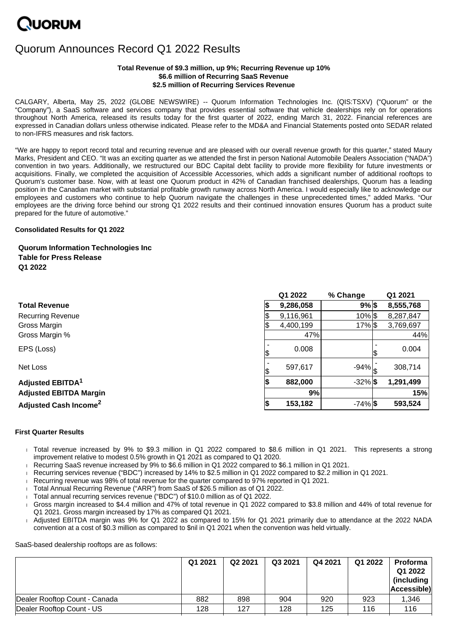# **NUORUM**

# Quorum Announces Record Q1 2022 Results

# **Total Revenue of \$9.3 million, up 9%; Recurring Revenue up 10% \$6.6 million of Recurring SaaS Revenue \$2.5 million of Recurring Services Revenue**

CALGARY, Alberta, May 25, 2022 (GLOBE NEWSWIRE) -- Quorum Information Technologies Inc. (QIS:TSXV) ("Quorum" or the "Company"), a SaaS software and services company that provides essential software that vehicle dealerships rely on for operations throughout North America, released its results today for the first quarter of 2022, ending March 31, 2022. Financial references are expressed in Canadian dollars unless otherwise indicated. Please refer to the MD&A and Financial Statements posted onto SEDAR related to non-IFRS measures and risk factors.

"We are happy to report record total and recurring revenue and are pleased with our overall revenue growth for this quarter," stated Maury Marks, President and CEO. "It was an exciting quarter as we attended the first in person National Automobile Dealers Association ("NADA") convention in two years. Additionally, we restructured our BDC Capital debt facility to provide more flexibility for future investments or acquisitions. Finally, we completed the acquisition of Accessible Accessories, which adds a significant number of additional rooftops to Quorum's customer base. Now, with at least one Quorum product in 42% of Canadian franchised dealerships, Quorum has a leading position in the Canadian market with substantial profitable growth runway across North America. I would especially like to acknowledge our employees and customers who continue to help Quorum navigate the challenges in these unprecedented times," added Marks. "Our employees are the driving force behind our strong Q1 2022 results and their continued innovation ensures Quorum has a product suite prepared for the future of automotive."

# **Consolidated Results for Q1 2022**

# **Quorum Information Technologies Inc Table for Press Release Q1 2022**

|                                         | Q1 2022   | % Change          | Q1 2021   |
|-----------------------------------------|-----------|-------------------|-----------|
| <b>Total Revenue</b>                    | 9,286,058 | $9%$ \$           | 8,555,768 |
| <b>Recurring Revenue</b>                | 9,116,961 | $10\%$ $\$\$      | 8,287,847 |
| Gross Margin                            | 4,400,199 | 17% \$            | 3,769,697 |
| Gross Margin %                          | 47%       |                   | 44%       |
| EPS (Loss)                              | 0.008     |                   | 0.004     |
| Net Loss                                | 597,617   | $-94\% _{\sigma}$ | 308,714   |
| <b>Adjusted EBITDA<sup>1</sup></b>      | 882,000   | $-32\%$ \$        | 1,291,499 |
| <b>Adjusted EBITDA Margin</b>           | 9%        |                   | 15%       |
| <b>Adjusted Cash Income<sup>2</sup></b> | 153,182   | $-74\%$ \$        | 593,524   |

## **First Quarter Results**

- Total revenue increased by 9% to \$9.3 million in Q1 2022 compared to \$8.6 million in Q1 2021. This represents a strong improvement relative to modest 0.5% growth in Q1 2021 as compared to Q1 2020.
- Recurring SaaS revenue increased by 9% to \$6.6 million in Q1 2022 compared to \$6.1 million in Q1 2021.
- Recurring services revenue ("BDC") increased by 14% to \$2.5 million in Q1 2022 compared to \$2.2 million in Q1 2021.
- Recurring revenue was 98% of total revenue for the quarter compared to 97% reported in Q1 2021.
- Total Annual Recurring Revenue ("ARR") from SaaS of \$26.5 million as of Q1 2022.
- Total annual recurring services revenue ("BDC") of \$10.0 million as of Q1 2022.
- Gross margin increased to \$4.4 million and 47% of total revenue in Q1 2022 compared to \$3.8 million and 44% of total revenue for Q1 2021. Gross margin increased by 17% as compared Q1 2021.
- Adjusted EBITDA margin was 9% for Q1 2022 as compared to 15% for Q1 2021 primarily due to attendance at the 2022 NADA convention at a cost of \$0.3 million as compared to \$nil in Q1 2021 when the convention was held virtually.

SaaS-based dealership rooftops are as follows:

|                               | Q1 2021 | Q2 2021 | Q3 2021 | Q4 2021 | Q1 2022 | <b>Proforma</b><br>Q1 2022<br>(including<br>Accessible) |
|-------------------------------|---------|---------|---------|---------|---------|---------------------------------------------------------|
| Dealer Rooftop Count - Canada | 882     | 898     | 904     | 920     | 923     | 1,346                                                   |
| Dealer Rooftop Count - US     | 128     | 127     | 128     | 125     | 116     | 116                                                     |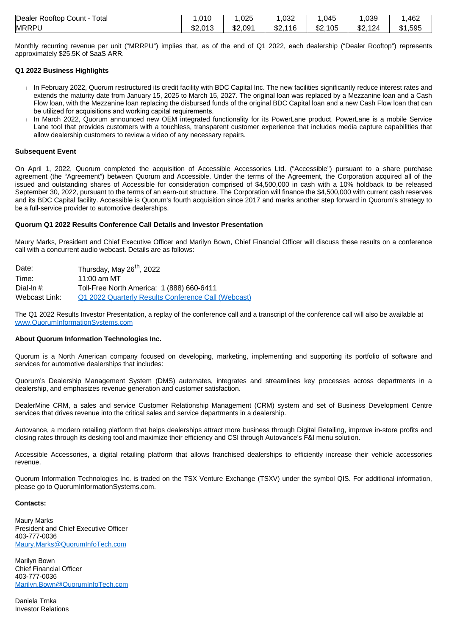| Dealer Rooftop Count<br>Total | .010            | ,025    | റാറ<br>.ujz       | .045             | ,039              | 462     |
|-------------------------------|-----------------|---------|-------------------|------------------|-------------------|---------|
| <b>MRRPL</b>                  | \$2,013<br>.մ∠. | \$2,091 | ሱሳ<br>116<br>∿D∠. | ሱሳ<br>105<br>.⊾ت | ሱሳ<br>124<br>-JZ. | \$1,595 |

Monthly recurring revenue per unit ("MRRPU") implies that, as of the end of Q1 2022, each dealership ("Dealer Rooftop") represents approximately \$25.5K of SaaS ARR.

# **Q1 2022 Business Highlights**

- In February 2022, Quorum restructured its credit facility with BDC Capital Inc. The new facilities significantly reduce interest rates and extends the maturity date from January 15, 2025 to March 15, 2027. The original loan was replaced by a Mezzanine loan and a Cash Flow loan, with the Mezzanine loan replacing the disbursed funds of the original BDC Capital loan and a new Cash Flow loan that can be utilized for acquisitions and working capital requirements.
- In March 2022, Quorum announced new OEM integrated functionality for its PowerLane product. PowerLane is a mobile Service Lane tool that provides customers with a touchless, transparent customer experience that includes media capture capabilities that allow dealership customers to review a video of any necessary repairs.

#### **Subsequent Event**

On April 1, 2022, Quorum completed the acquisition of Accessible Accessories Ltd. ("Accessible") pursuant to a share purchase agreement (the "Agreement") between Quorum and Accessible. Under the terms of the Agreement, the Corporation acquired all of the issued and outstanding shares of Accessible for consideration comprised of \$4,500,000 in cash with a 10% holdback to be released September 30, 2022, pursuant to the terms of an earn-out structure. The Corporation will finance the \$4,500,000 with current cash reserves and its BDC Capital facility. Accessible is Quorum's fourth acquisition since 2017 and marks another step forward in Quorum's strategy to be a full-service provider to automotive dealerships.

# **Quorum Q1 2022 Results Conference Call Details and Investor Presentation**

Maury Marks, President and Chief Executive Officer and Marilyn Bown, Chief Financial Officer will discuss these results on a conference call with a concurrent audio webcast. Details are as follows:

| Date:         | Thursday, May 26 <sup>th</sup> , 2022                      |
|---------------|------------------------------------------------------------|
| Time:         | 11:00 am MT                                                |
| Dial-In $#$ : | Toll-Free North America: 1 (888) 660-6411                  |
| Webcast Link: | <b>Q1 2022 Quarterly Results Conference Call (Webcast)</b> |

The Q1 2022 Results Investor Presentation, a replay of the conference call and a transcript of the conference call will also be available at [www.QuorumInformationSystems.com](http://www.quoruminformationsystems.com/)

#### **About Quorum Information Technologies Inc.**

Quorum is a North American company focused on developing, marketing, implementing and supporting its portfolio of software and services for automotive dealerships that includes:

Quorum's Dealership Management System (DMS) automates, integrates and streamlines key processes across departments in a dealership, and emphasizes revenue generation and customer satisfaction.

DealerMine CRM, a sales and service Customer Relationship Management (CRM) system and set of Business Development Centre services that drives revenue into the critical sales and service departments in a dealership.

Autovance, a modern retailing platform that helps dealerships attract more business through Digital Retailing, improve in-store profits and closing rates through its desking tool and maximize their efficiency and CSI through Autovance's F&I menu solution.

Accessible Accessories, a digital retailing platform that allows franchised dealerships to efficiently increase their vehicle accessories revenue.

Quorum Information Technologies Inc. is traded on the TSX Venture Exchange (TSXV) under the symbol QIS. For additional information, please go to QuorumInformationSystems.com.

#### **Contacts:**

Maury Marks President and Chief Executive Officer 403-777-0036 [Maury.Marks@QuorumInfoTech.com](mailto:Maury.Marks@QuorumInfoTech.com)

Marilyn Bown Chief Financial Officer 403-777-0036 [Marilyn.Bown@QuorumInfoTech.com](mailto:Marilyn.Bown@QuorumInfoTech.com)

Daniela Trnka Investor Relations